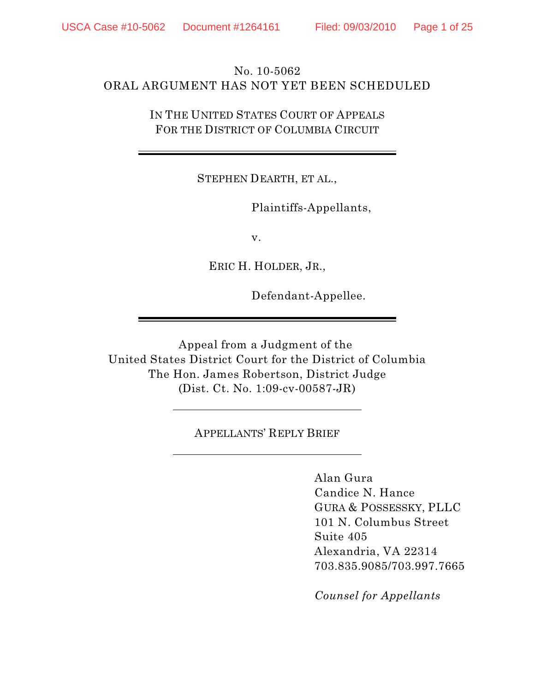# No. 10-5062 ORAL ARGUMENT HAS NOT YET BEEN SCHEDULED

IN THE UNITED STATES COURT OF APPEALS FOR THE DISTRICT OF COLUMBIA CIRCUIT

STEPHEN DEARTH, ET AL.,

Plaintiffs-Appellants,

v.

ERIC H. HOLDER, JR.,

Defendant-Appellee.

Appeal from a Judgment of the United States District Court for the District of Columbia The Hon. James Robertson, District Judge (Dist. Ct. No. 1:09-cv-00587-JR)

APPELLANTS' REPLY BRIEF

Alan Gura Candice N. Hance GURA & POSSESSKY, PLLC 101 N. Columbus Street Suite 405 Alexandria, VA 22314 703.835.9085/703.997.7665

*Counsel for Appellants*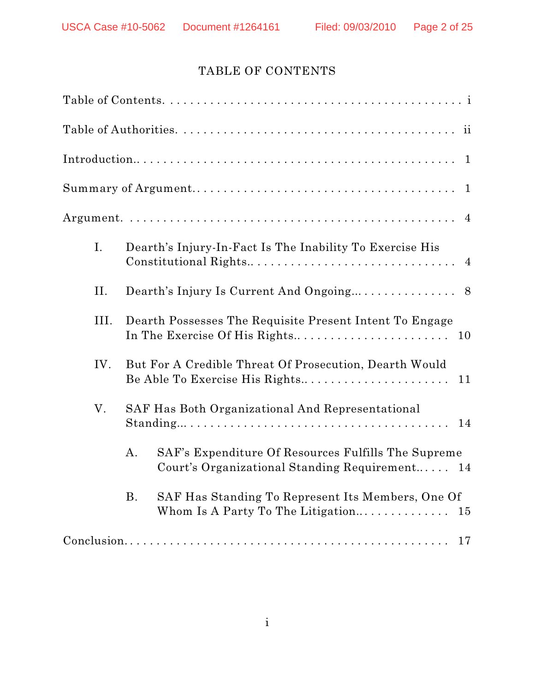# TABLE OF CONTENTS

|      |                                                                                                | $\mathbf{1}$                                                                                                                                                    |  |
|------|------------------------------------------------------------------------------------------------|-----------------------------------------------------------------------------------------------------------------------------------------------------------------|--|
|      |                                                                                                | $\mathbf{1}$                                                                                                                                                    |  |
|      |                                                                                                |                                                                                                                                                                 |  |
| I.   |                                                                                                | Dearth's Injury-In-Fact Is The Inability To Exercise His                                                                                                        |  |
| II.  |                                                                                                |                                                                                                                                                                 |  |
| III. | Dearth Possesses The Requisite Present Intent To Engage                                        |                                                                                                                                                                 |  |
| IV.  | But For A Credible Threat Of Prosecution, Dearth Would<br>Be Able To Exercise His Rights<br>11 |                                                                                                                                                                 |  |
| V.   |                                                                                                | SAF Has Both Organizational And Representational<br>$Standing \ldots \ldots \ldots \ldots \ldots \ldots \ldots \ldots \ldots \ldots \ldots \ldots \ldots$<br>14 |  |
|      | $\mathbf{A}$ .                                                                                 | SAF's Expenditure Of Resources Fulfills The Supreme<br>Court's Organizational Standing Requirement 14                                                           |  |
|      | <b>B.</b>                                                                                      | SAF Has Standing To Represent Its Members, One Of                                                                                                               |  |
|      |                                                                                                | 17                                                                                                                                                              |  |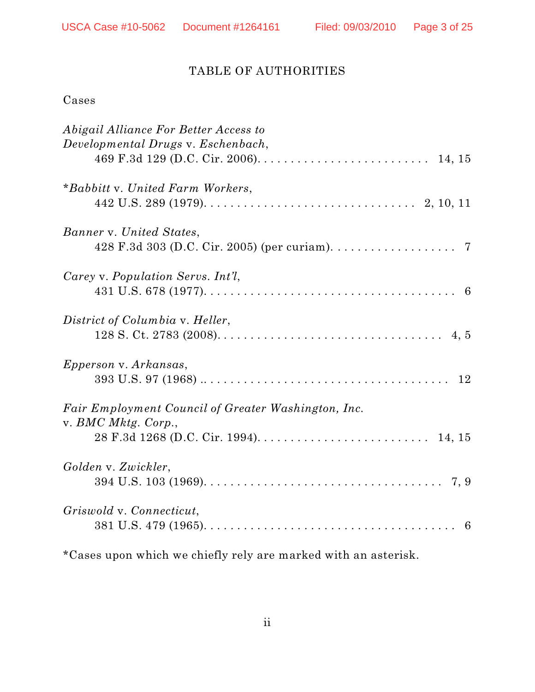# TABLE OF AUTHORITIES

# Cases

| Abigail Alliance For Better Access to<br>Developmental Drugs v. Eschenbach, |
|-----------------------------------------------------------------------------|
|                                                                             |
| *Babbitt v. United Farm Workers,                                            |
|                                                                             |
| Banner v. United States,                                                    |
|                                                                             |
| Carey v. Population Servs. Int'l.                                           |
|                                                                             |
| District of Columbia v. Heller,                                             |
|                                                                             |
| <i>Epperson v. Arkansas,</i>                                                |
|                                                                             |
| Fair Employment Council of Greater Washington, Inc.<br>v. BMC Mktg. Corp.,  |
|                                                                             |
| Golden v. Zwickler,                                                         |
|                                                                             |
| Griswold v. Connecticut,                                                    |
|                                                                             |

\*Cases upon which we chiefly rely are marked with an asterisk.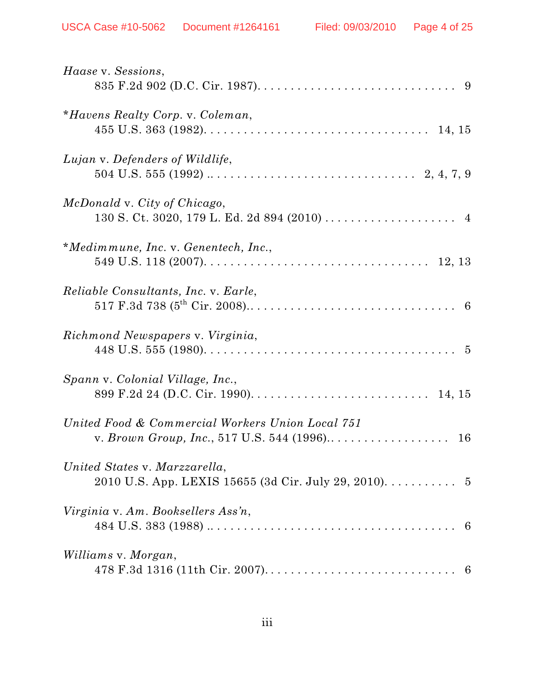| Haase v. Sessions,                                                                               |
|--------------------------------------------------------------------------------------------------|
| *Havens Realty Corp. v. Coleman,                                                                 |
| Lujan v. Defenders of Wildlife,                                                                  |
| McDonald v. City of Chicago,                                                                     |
| *Medimmune, Inc. v. Genentech, Inc.,                                                             |
| <i>Reliable Consultants, Inc. v. Earle,</i>                                                      |
| Richmond Newspapers v. Virginia,                                                                 |
| Spann v. Colonial Village, Inc.,                                                                 |
| United Food & Commercial Workers Union Local 751<br>v. Brown Group, Inc., 517 U.S. 544 (1996) 16 |
| United States v. Marzzarella,<br>2010 U.S. App. LEXIS 15655 (3d Cir. July 29, 2010). 5           |
| Virginia v. Am. Booksellers Ass'n,                                                               |
| Williams v. Morgan,                                                                              |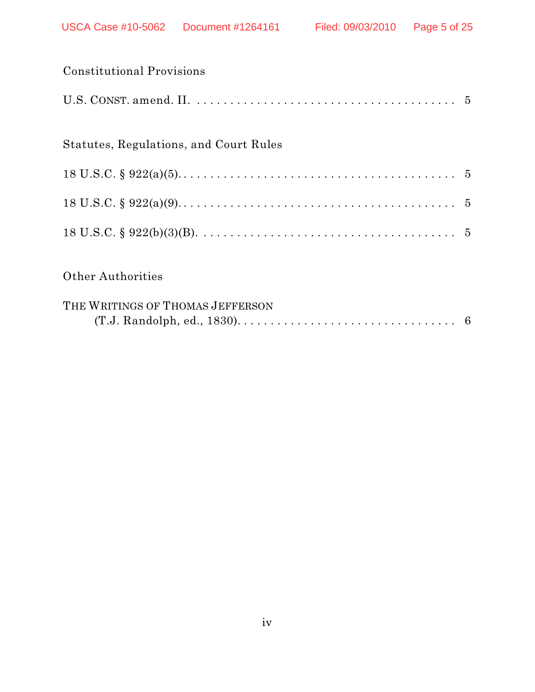| <b>Constitutional Provisions</b>       |  |
|----------------------------------------|--|
|                                        |  |
| Statutes, Regulations, and Court Rules |  |
|                                        |  |
|                                        |  |
|                                        |  |
| <b>Other Authorities</b>               |  |
| THE WRITINGS OF THOMAS JEFFERSON       |  |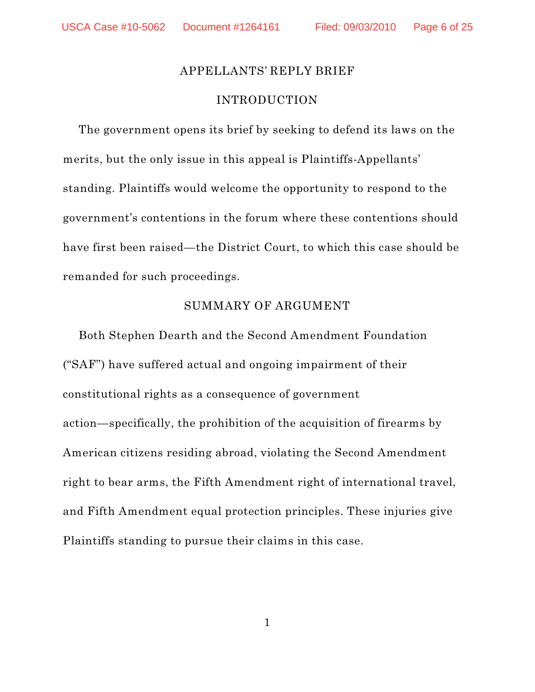### APPELLANTS' REPLY BRIEF

### INTRODUCTION

The government opens its brief by seeking to defend its laws on the merits, but the only issue in this appeal is Plaintiffs-Appellants' standing. Plaintiffs would welcome the opportunity to respond to the government's contentions in the forum where these contentions should have first been raised—the District Court, to which this case should be remanded for such proceedings.

### SUMMARY OF ARGUMENT

Both Stephen Dearth and the Second Amendment Foundation ("SAF") have suffered actual and ongoing impairment of their constitutional rights as a consequence of government action—specifically, the prohibition of the acquisition of firearms by American citizens residing abroad, violating the Second Amendment right to bear arms, the Fifth Amendment right of international travel, and Fifth Amendment equal protection principles. These injuries give Plaintiffs standing to pursue their claims in this case.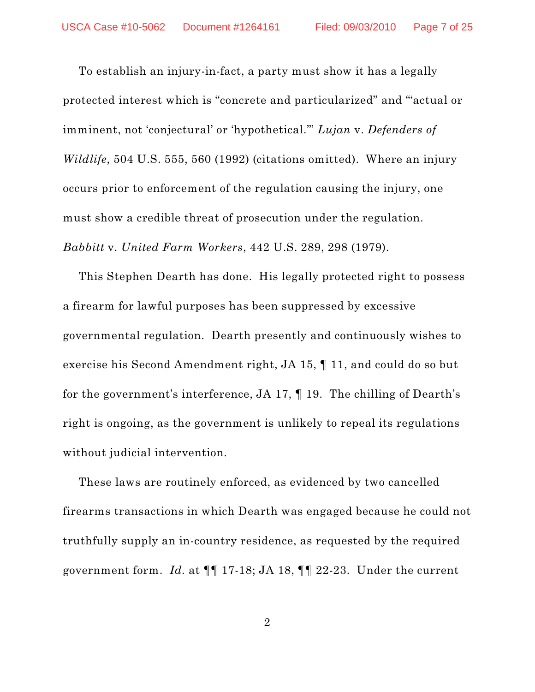To establish an injury-in-fact, a party must show it has a legally protected interest which is "concrete and particularized" and "'actual or imminent, not 'conjectural' or 'hypothetical.'" *Lujan* v. *Defenders of Wildlife*, 504 U.S. 555, 560 (1992) (citations omitted). Where an injury occurs prior to enforcement of the regulation causing the injury, one must show a credible threat of prosecution under the regulation. *Babbitt* v. *United Farm Workers*, 442 U.S. 289, 298 (1979).

This Stephen Dearth has done. His legally protected right to possess a firearm for lawful purposes has been suppressed by excessive governmental regulation. Dearth presently and continuously wishes to exercise his Second Amendment right, JA 15, ¶ 11, and could do so but for the government's interference, JA 17, ¶ 19. The chilling of Dearth's right is ongoing, as the government is unlikely to repeal its regulations without judicial intervention.

These laws are routinely enforced, as evidenced by two cancelled firearms transactions in which Dearth was engaged because he could not truthfully supply an in-country residence, as requested by the required government form. *Id.* at ¶¶ 17-18; JA 18, ¶¶ 22-23. Under the current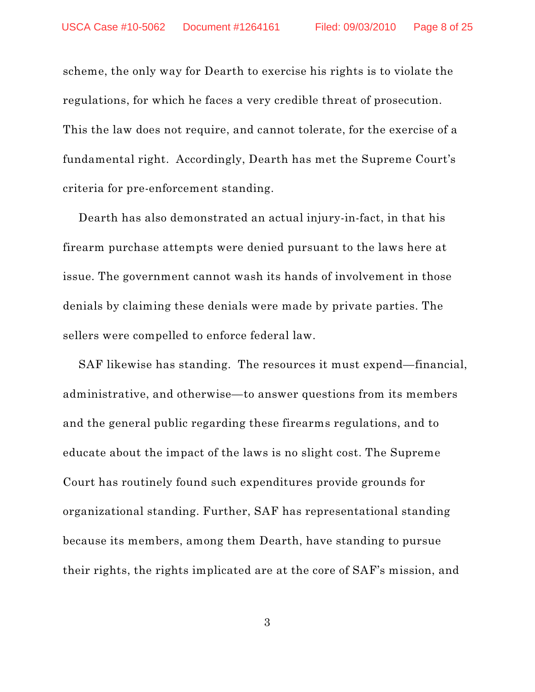scheme, the only way for Dearth to exercise his rights is to violate the regulations, for which he faces a very credible threat of prosecution. This the law does not require, and cannot tolerate, for the exercise of a fundamental right. Accordingly, Dearth has met the Supreme Court's criteria for pre-enforcement standing.

Dearth has also demonstrated an actual injury-in-fact, in that his firearm purchase attempts were denied pursuant to the laws here at issue. The government cannot wash its hands of involvement in those denials by claiming these denials were made by private parties. The sellers were compelled to enforce federal law.

SAF likewise has standing. The resources it must expend—financial, administrative, and otherwise—to answer questions from its members and the general public regarding these firearms regulations, and to educate about the impact of the laws is no slight cost. The Supreme Court has routinely found such expenditures provide grounds for organizational standing. Further, SAF has representational standing because its members, among them Dearth, have standing to pursue their rights, the rights implicated are at the core of SAF's mission, and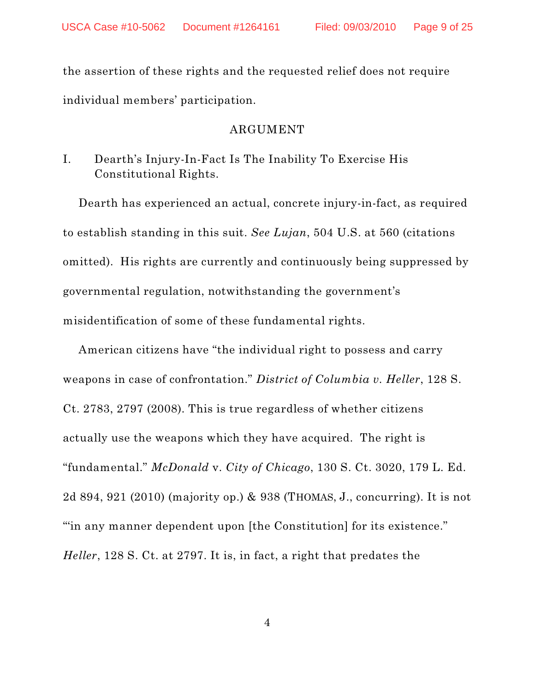the assertion of these rights and the requested relief does not require individual members' participation.

## ARGUMENT

# I. Dearth's Injury-In-Fact Is The Inability To Exercise His Constitutional Rights.

Dearth has experienced an actual, concrete injury-in-fact, as required to establish standing in this suit. *See Lujan*, 504 U.S. at 560 (citations omitted). His rights are currently and continuously being suppressed by governmental regulation, notwithstanding the government's misidentification of some of these fundamental rights.

American citizens have "the individual right to possess and carry weapons in case of confrontation." *District of Columbia v. Heller*, 128 S. Ct. 2783, 2797 (2008). This is true regardless of whether citizens actually use the weapons which they have acquired. The right is "fundamental." *McDonald* v. *City of Chicago*, 130 S. Ct. 3020, 179 L. Ed. 2d 894, 921 (2010) (majority op.) & 938 (THOMAS, J., concurring). It is not "in any manner dependent upon [the Constitution] for its existence." *Heller*, 128 S. Ct. at 2797. It is, in fact, a right that predates the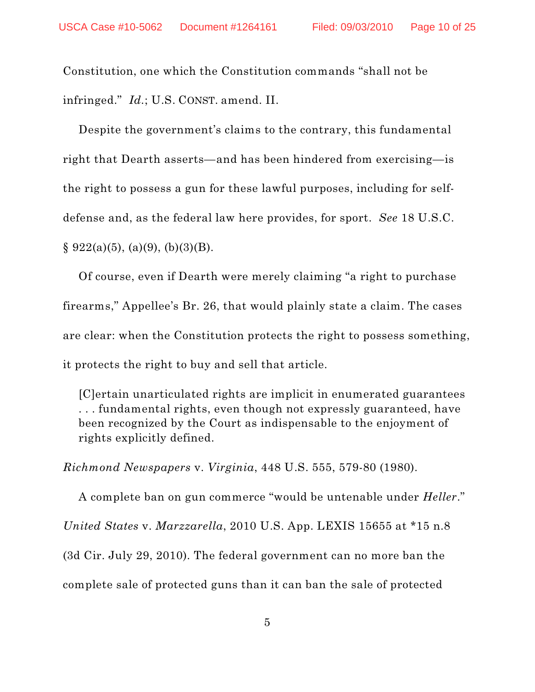Constitution, one which the Constitution commands "shall not be infringed." *Id.*; U.S. CONST. amend. II.

Despite the government's claims to the contrary, this fundamental right that Dearth asserts—and has been hindered from exercising—is the right to possess a gun for these lawful purposes, including for selfdefense and, as the federal law here provides, for sport. *See* 18 U.S.C.  $\S 922(a)(5)$ , (a)(9), (b)(3)(B).

Of course, even if Dearth were merely claiming "a right to purchase firearms," Appellee's Br. 26, that would plainly state a claim. The cases are clear: when the Constitution protects the right to possess something, it protects the right to buy and sell that article.

[C]ertain unarticulated rights are implicit in enumerated guarantees . . . fundamental rights, even though not expressly guaranteed, have been recognized by the Court as indispensable to the enjoyment of rights explicitly defined.

*Richmond Newspapers* v. *Virginia*, 448 U.S. 555, 579-80 (1980).

A complete ban on gun commerce "would be untenable under *Heller*." *United States* v. *Marzzarella*, 2010 U.S. App. LEXIS 15655 at \*15 n.8 (3d Cir. July 29, 2010). The federal government can no more ban the complete sale of protected guns than it can ban the sale of protected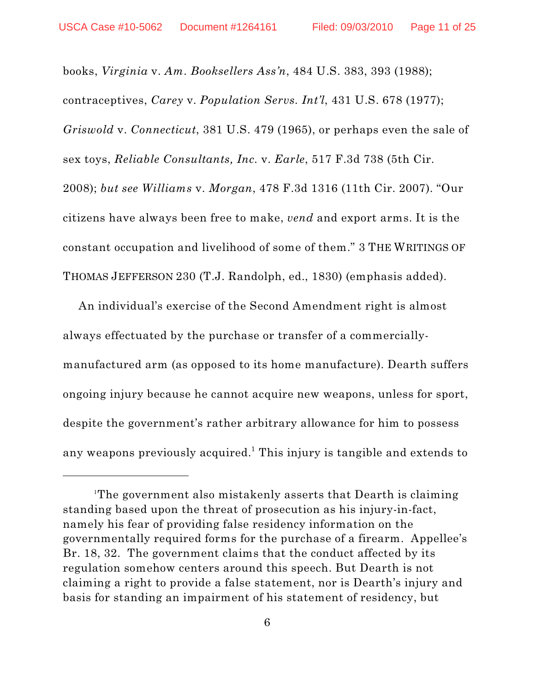books, *Virginia* v. *Am. Booksellers Ass'n*, 484 U.S. 383, 393 (1988); contraceptives, *Carey* v. *Population Servs. Int'l*, 431 U.S. 678 (1977); *Griswold* v. *Connecticut*, 381 U.S. 479 (1965), or perhaps even the sale of sex toys, *Reliable Consultants, Inc.* v. *Earle*, 517 F.3d 738 (5th Cir. 2008); *but see Williams* v. *Morgan*, 478 F.3d 1316 (11th Cir. 2007). "Our citizens have always been free to make, *vend* and export arms. It is the constant occupation and livelihood of some of them." 3 THE WRITINGS OF THOMAS JEFFERSON 230 (T.J. Randolph, ed., 1830) (emphasis added).

An individual's exercise of the Second Amendment right is almost always effectuated by the purchase or transfer of a commerciallymanufactured arm (as opposed to its home manufacture). Dearth suffers ongoing injury because he cannot acquire new weapons, unless for sport, despite the government's rather arbitrary allowance for him to possess any weapons previously acquired.<sup>1</sup> This injury is tangible and extends to

The government also mistakenly asserts that Dearth is claiming 1 standing based upon the threat of prosecution as his injury-in-fact, namely his fear of providing false residency information on the governmentally required forms for the purchase of a firearm. Appellee's Br. 18, 32. The government claims that the conduct affected by its regulation somehow centers around this speech. But Dearth is not claiming a right to provide a false statement, nor is Dearth's injury and basis for standing an impairment of his statement of residency, but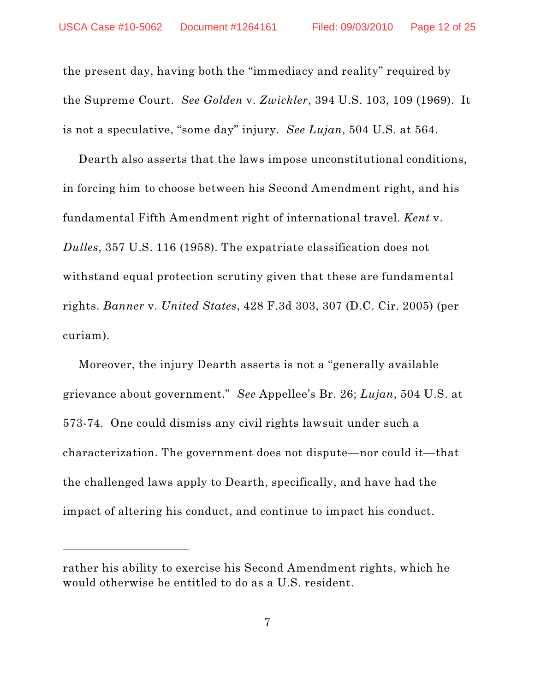the present day, having both the "immediacy and reality" required by the Supreme Court. *See Golden* v. *Zwickler*, 394 U.S. 103, 109 (1969). It is not a speculative, "some day" injury. *See Lujan*, 504 U.S. at 564.

Dearth also asserts that the laws impose unconstitutional conditions, in forcing him to choose between his Second Amendment right, and his fundamental Fifth Amendment right of international travel. *Kent* v. *Dulles*, 357 U.S. 116 (1958). The expatriate classification does not withstand equal protection scrutiny given that these are fundamental rights. *Banner* v. *United States*, 428 F.3d 303, 307 (D.C. Cir. 2005) (per curiam).

Moreover, the injury Dearth asserts is not a "generally available grievance about government." *See* Appellee's Br. 26; *Lujan*, 504 U.S. at 573-74. One could dismiss any civil rights lawsuit under such a characterization. The government does not dispute—nor could it—that the challenged laws apply to Dearth, specifically, and have had the impact of altering his conduct, and continue to impact his conduct.

rather his ability to exercise his Second Amendment rights, which he would otherwise be entitled to do as a U.S. resident.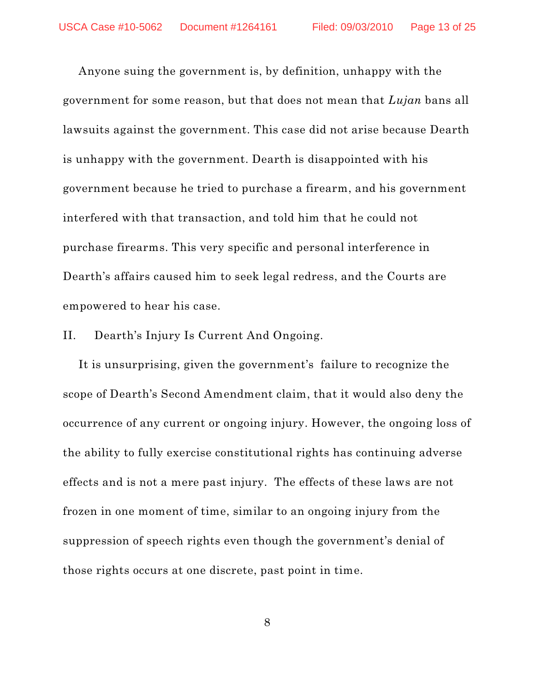Anyone suing the government is, by definition, unhappy with the government for some reason, but that does not mean that *Lujan* bans all lawsuits against the government. This case did not arise because Dearth is unhappy with the government. Dearth is disappointed with his government because he tried to purchase a firearm, and his government interfered with that transaction, and told him that he could not purchase firearms. This very specific and personal interference in Dearth's affairs caused him to seek legal redress, and the Courts are empowered to hear his case.

#### II. Dearth's Injury Is Current And Ongoing.

It is unsurprising, given the government's failure to recognize the scope of Dearth's Second Amendment claim, that it would also deny the occurrence of any current or ongoing injury. However, the ongoing loss of the ability to fully exercise constitutional rights has continuing adverse effects and is not a mere past injury. The effects of these laws are not frozen in one moment of time, similar to an ongoing injury from the suppression of speech rights even though the government's denial of those rights occurs at one discrete, past point in time.

8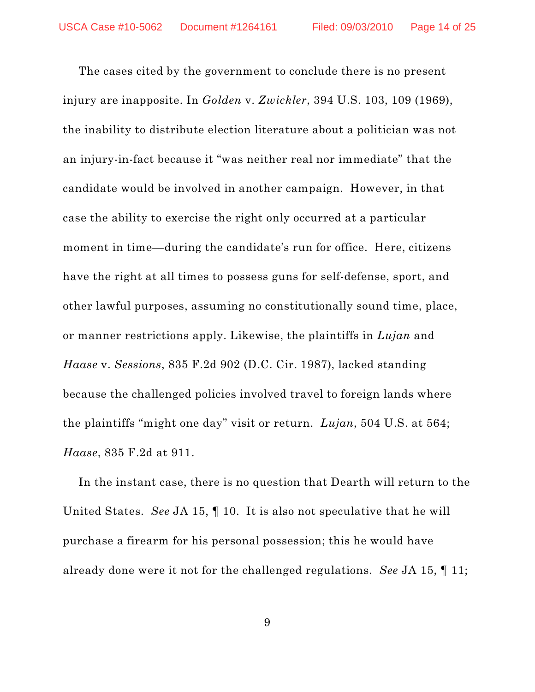The cases cited by the government to conclude there is no present injury are inapposite. In *Golden* v. *Zwickler*, 394 U.S. 103, 109 (1969), the inability to distribute election literature about a politician was not an injury-in-fact because it "was neither real nor immediate" that the candidate would be involved in another campaign. However, in that case the ability to exercise the right only occurred at a particular moment in time—during the candidate's run for office. Here, citizens have the right at all times to possess guns for self-defense, sport, and other lawful purposes, assuming no constitutionally sound time, place, or manner restrictions apply. Likewise, the plaintiffs in *Lujan* and *Haase* v. *Sessions*, 835 F.2d 902 (D.C. Cir. 1987), lacked standing because the challenged policies involved travel to foreign lands where the plaintiffs "might one day" visit or return. *Lujan*, 504 U.S. at 564; *Haase*, 835 F.2d at 911.

In the instant case, there is no question that Dearth will return to the United States. *See* JA 15, ¶ 10. It is also not speculative that he will purchase a firearm for his personal possession; this he would have already done were it not for the challenged regulations. *See* JA 15, ¶ 11;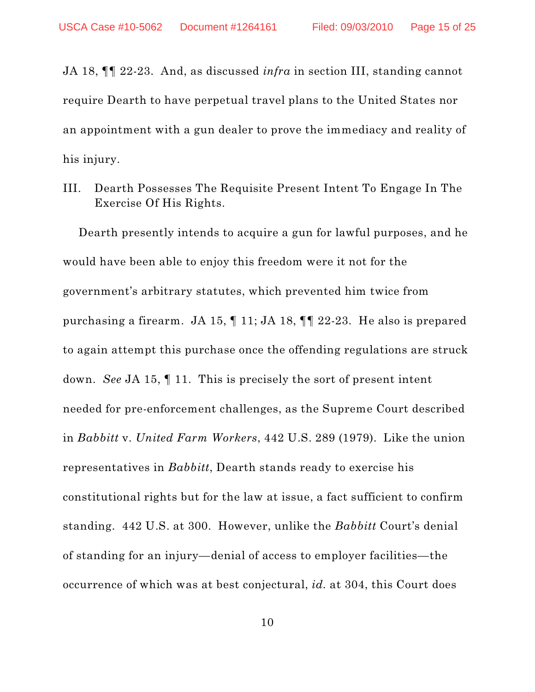JA 18, ¶¶ 22-23. And, as discussed *infra* in section III, standing cannot require Dearth to have perpetual travel plans to the United States nor an appointment with a gun dealer to prove the immediacy and reality of his injury.

III. Dearth Possesses The Requisite Present Intent To Engage In The Exercise Of His Rights.

Dearth presently intends to acquire a gun for lawful purposes, and he would have been able to enjoy this freedom were it not for the government's arbitrary statutes, which prevented him twice from purchasing a firearm. JA 15, ¶ 11; JA 18, ¶¶ 22-23. He also is prepared to again attempt this purchase once the offending regulations are struck down. *See* JA 15, ¶ 11. This is precisely the sort of present intent needed for pre-enforcement challenges, as the Supreme Court described in *Babbitt* v. *United Farm Workers*, 442 U.S. 289 (1979). Like the union representatives in *Babbitt*, Dearth stands ready to exercise his constitutional rights but for the law at issue, a fact sufficient to confirm standing. 442 U.S. at 300. However, unlike the *Babbitt* Court's denial of standing for an injury—denial of access to employer facilities—the occurrence of which was at best conjectural, *id.* at 304, this Court does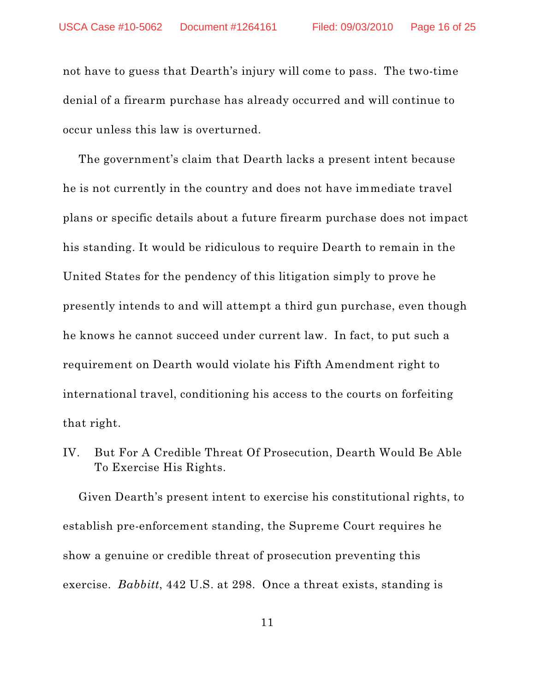not have to guess that Dearth's injury will come to pass. The two-time denial of a firearm purchase has already occurred and will continue to occur unless this law is overturned.

The government's claim that Dearth lacks a present intent because he is not currently in the country and does not have immediate travel plans or specific details about a future firearm purchase does not impact his standing. It would be ridiculous to require Dearth to remain in the United States for the pendency of this litigation simply to prove he presently intends to and will attempt a third gun purchase, even though he knows he cannot succeed under current law. In fact, to put such a requirement on Dearth would violate his Fifth Amendment right to international travel, conditioning his access to the courts on forfeiting that right.

IV. But For A Credible Threat Of Prosecution, Dearth Would Be Able To Exercise His Rights.

Given Dearth's present intent to exercise his constitutional rights, to establish pre-enforcement standing, the Supreme Court requires he show a genuine or credible threat of prosecution preventing this exercise. *Babbitt*, 442 U.S. at 298. Once a threat exists, standing is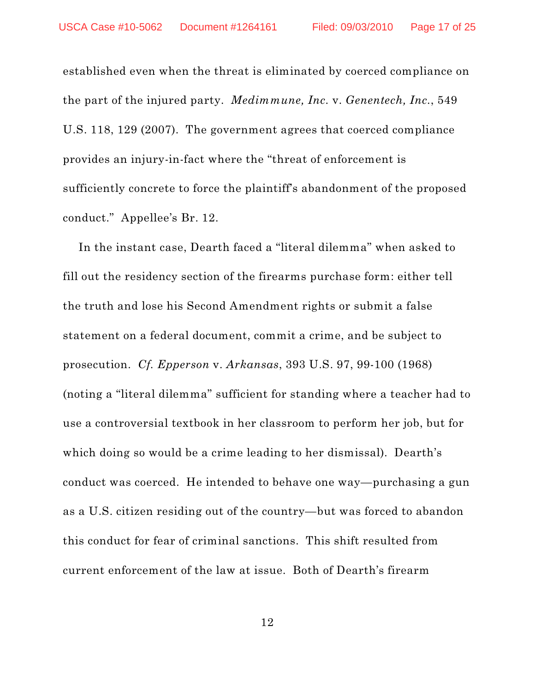established even when the threat is eliminated by coerced compliance on the part of the injured party. *Medimmune, Inc.* v. *Genentech, Inc.*, 549 U.S. 118, 129 (2007). The government agrees that coerced compliance provides an injury-in-fact where the "threat of enforcement is sufficiently concrete to force the plaintiff's abandonment of the proposed conduct." Appellee's Br. 12.

In the instant case, Dearth faced a "literal dilemma" when asked to fill out the residency section of the firearms purchase form: either tell the truth and lose his Second Amendment rights or submit a false statement on a federal document, commit a crime, and be subject to prosecution. *Cf. Epperson* v. *Arkansas*, 393 U.S. 97, 99-100 (1968) (noting a "literal dilemma" sufficient for standing where a teacher had to use a controversial textbook in her classroom to perform her job, but for which doing so would be a crime leading to her dismissal). Dearth's conduct was coerced. He intended to behave one way—purchasing a gun as a U.S. citizen residing out of the country—but was forced to abandon this conduct for fear of criminal sanctions. This shift resulted from current enforcement of the law at issue. Both of Dearth's firearm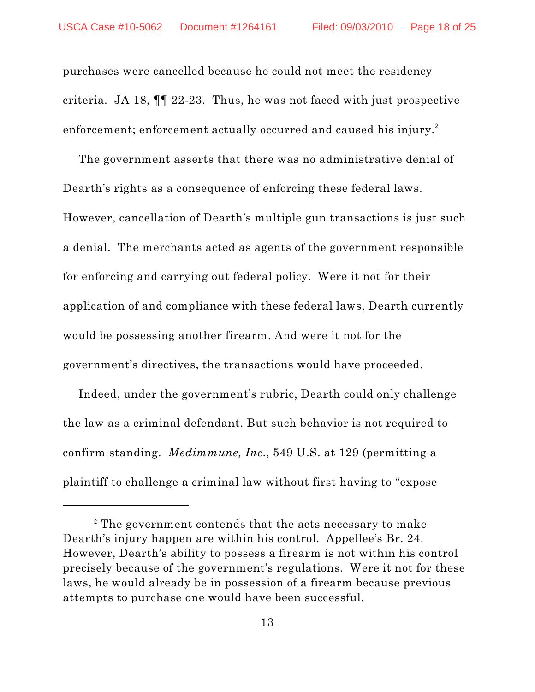purchases were cancelled because he could not meet the residency criteria. JA 18, ¶¶ 22-23. Thus, he was not faced with just prospective enforcement; enforcement actually occurred and caused his injury. $^2$ 

The government asserts that there was no administrative denial of Dearth's rights as a consequence of enforcing these federal laws. However, cancellation of Dearth's multiple gun transactions is just such a denial. The merchants acted as agents of the government responsible for enforcing and carrying out federal policy. Were it not for their application of and compliance with these federal laws, Dearth currently would be possessing another firearm. And were it not for the government's directives, the transactions would have proceeded.

Indeed, under the government's rubric, Dearth could only challenge the law as a criminal defendant. But such behavior is not required to confirm standing. *Medimmune, Inc.*, 549 U.S. at 129 (permitting a plaintiff to challenge a criminal law without first having to "expose

 $^{\text{2}}$  The government contends that the acts necessary to make Dearth's injury happen are within his control. Appellee's Br. 24. However, Dearth's ability to possess a firearm is not within his control precisely because of the government's regulations. Were it not for these laws, he would already be in possession of a firearm because previous attempts to purchase one would have been successful.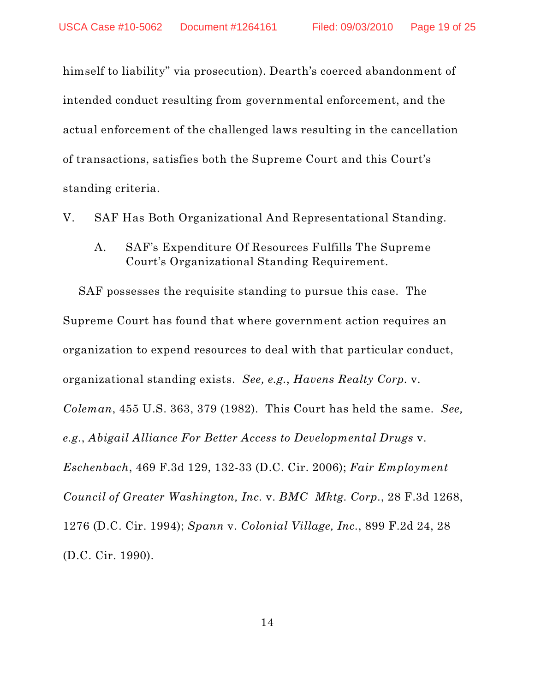himself to liability" via prosecution). Dearth's coerced abandonment of intended conduct resulting from governmental enforcement, and the actual enforcement of the challenged laws resulting in the cancellation of transactions, satisfies both the Supreme Court and this Court's standing criteria.

V. SAF Has Both Organizational And Representational Standing.

A. SAF's Expenditure Of Resources Fulfills The Supreme Court's Organizational Standing Requirement.

SAF possesses the requisite standing to pursue this case. The Supreme Court has found that where government action requires an organization to expend resources to deal with that particular conduct, organizational standing exists. *See, e.g.*, *Havens Realty Corp.* v. *Coleman*, 455 U.S. 363, 379 (1982). This Court has held the same. *See, e.g.*, *Abigail Alliance For Better Access to Developmental Drugs* v. *Eschenbach*, 469 F.3d 129, 132-33 (D.C. Cir. 2006); *Fair Employment Council of Greater Washington, Inc.* v. *BMC Mktg. Corp.*, 28 F.3d 1268, 1276 (D.C. Cir. 1994); *Spann* v. *Colonial Village, Inc.*, 899 F.2d 24, 28 (D.C. Cir. 1990).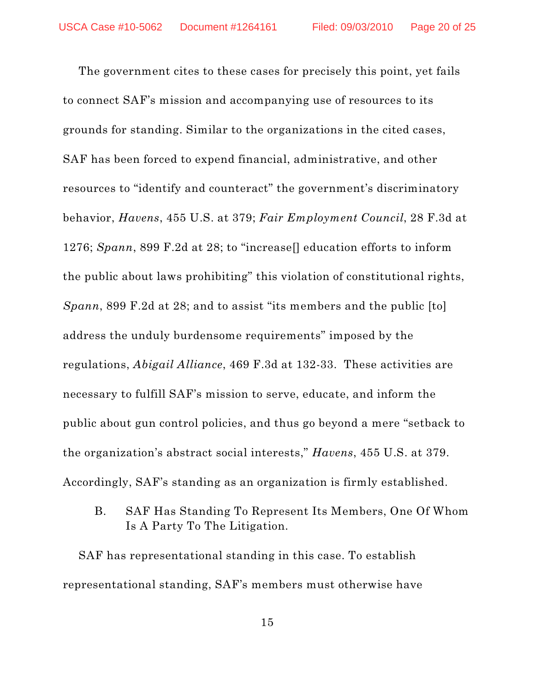The government cites to these cases for precisely this point, yet fails to connect SAF's mission and accompanying use of resources to its grounds for standing. Similar to the organizations in the cited cases, SAF has been forced to expend financial, administrative, and other resources to "identify and counteract" the government's discriminatory behavior, *Havens*, 455 U.S. at 379; *Fair Employment Council*, 28 F.3d at 1276; *Spann*, 899 F.2d at 28; to "increase[] education efforts to inform the public about laws prohibiting" this violation of constitutional rights, *Spann*, 899 F.2d at 28; and to assist "its members and the public [to] address the unduly burdensome requirements" imposed by the regulations, *Abigail Alliance*, 469 F.3d at 132-33. These activities are necessary to fulfill SAF's mission to serve, educate, and inform the public about gun control policies, and thus go beyond a mere "setback to the organization's abstract social interests," *Havens*, 455 U.S. at 379. Accordingly, SAF's standing as an organization is firmly established.

B. SAF Has Standing To Represent Its Members, One Of Whom Is A Party To The Litigation.

SAF has representational standing in this case. To establish representational standing, SAF's members must otherwise have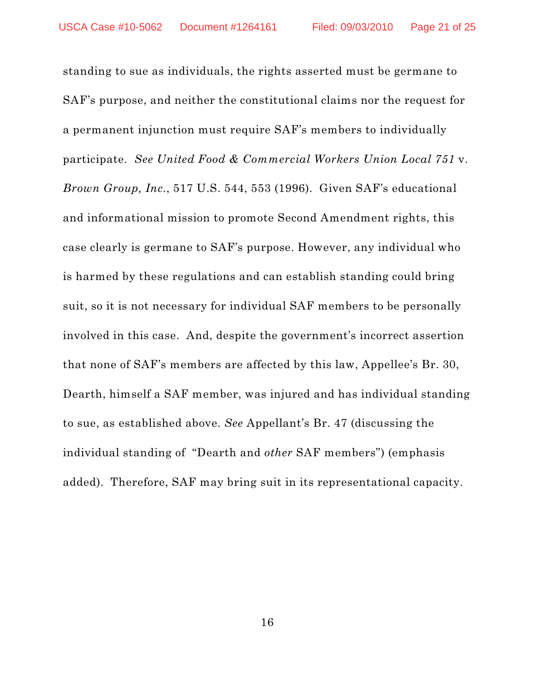standing to sue as individuals, the rights asserted must be germane to SAF's purpose, and neither the constitutional claims nor the request for a permanent injunction must require SAF's members to individually participate. *See United Food & Commercial Workers Union Local 751* v. *Brown Group, Inc.*, 517 U.S. 544, 553 (1996). Given SAF's educational and informational mission to promote Second Amendment rights, this case clearly is germane to SAF's purpose. However, any individual who is harmed by these regulations and can establish standing could bring suit, so it is not necessary for individual SAF members to be personally involved in this case. And, despite the government's incorrect assertion that none of SAF's members are affected by this law, Appellee's Br. 30, Dearth, himself a SAF member, was injured and has individual standing to sue, as established above. *See* Appellant's Br. 47 (discussing the individual standing of "Dearth and *other* SAF members") (emphasis added). Therefore, SAF may bring suit in its representational capacity.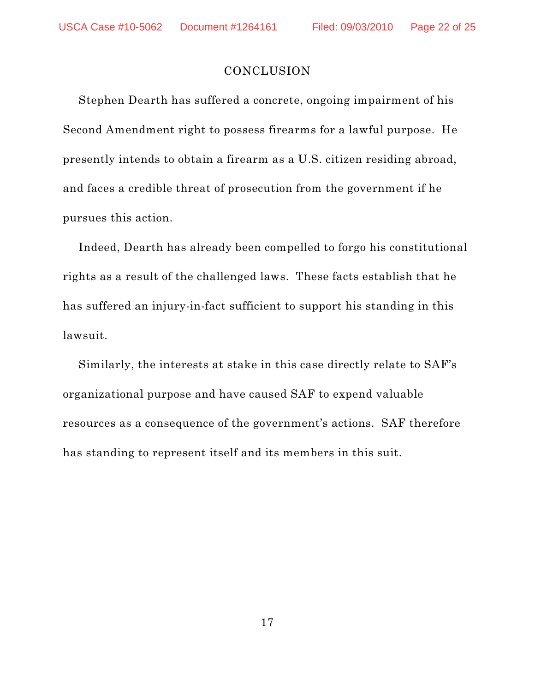#### **CONCLUSION**

Stephen Dearth has suffered a concrete, ongoing impairment of his Second Amendment right to possess firearms for a lawful purpose. He presently intends to obtain a firearm as a U.S. citizen residing abroad, and faces a credible threat of prosecution from the government if he pursues this action.

Indeed, Dearth has already been compelled to forgo his constitutional rights as a result of the challenged laws. These facts establish that he has suffered an injury-in-fact sufficient to support his standing in this lawsuit.

Similarly, the interests at stake in this case directly relate to SAF's organizational purpose and have caused SAF to expend valuable resources as a consequence of the government's actions. SAF therefore has standing to represent itself and its members in this suit.

17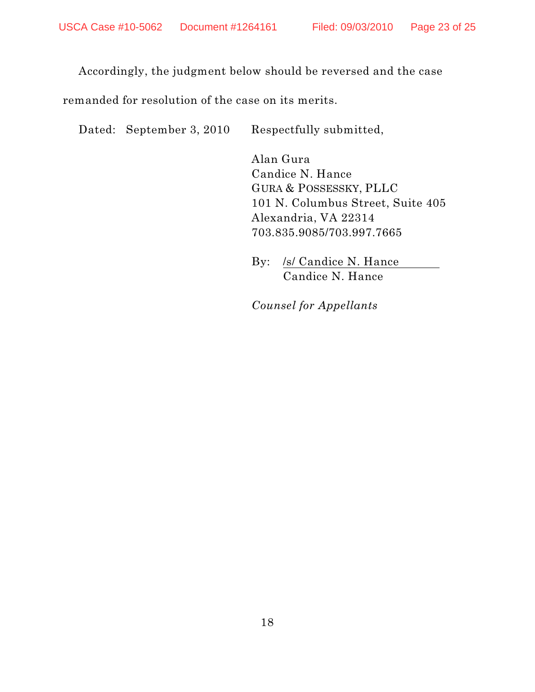Accordingly, the judgment below should be reversed and the case

remanded for resolution of the case on its merits.

Dated: September 3, 2010 Respectfully submitted,

Alan Gura Candice N. Hance GURA & POSSESSKY, PLLC 101 N. Columbus Street, Suite 405 Alexandria, VA 22314 703.835.9085/703.997.7665

By: /s/ Candice N. Hance Candice N. Hance

*Counsel for Appellants*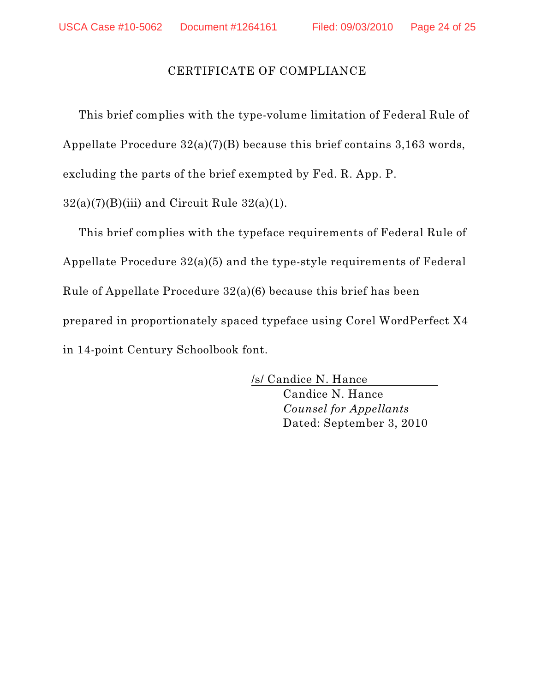## CERTIFICATE OF COMPLIANCE

This brief complies with the type-volume limitation of Federal Rule of Appellate Procedure 32(a)(7)(B) because this brief contains 3,163 words, excluding the parts of the brief exempted by Fed. R. App. P.  $32(a)(7)(B)(iii)$  and Circuit Rule  $32(a)(1)$ .

This brief complies with the typeface requirements of Federal Rule of Appellate Procedure 32(a)(5) and the type-style requirements of Federal Rule of Appellate Procedure 32(a)(6) because this brief has been prepared in proportionately spaced typeface using Corel WordPerfect X4 in 14-point Century Schoolbook font.

> /s/ Candice N. Hance Candice N. Hance *Counsel for Appellants* Dated: September 3, 2010